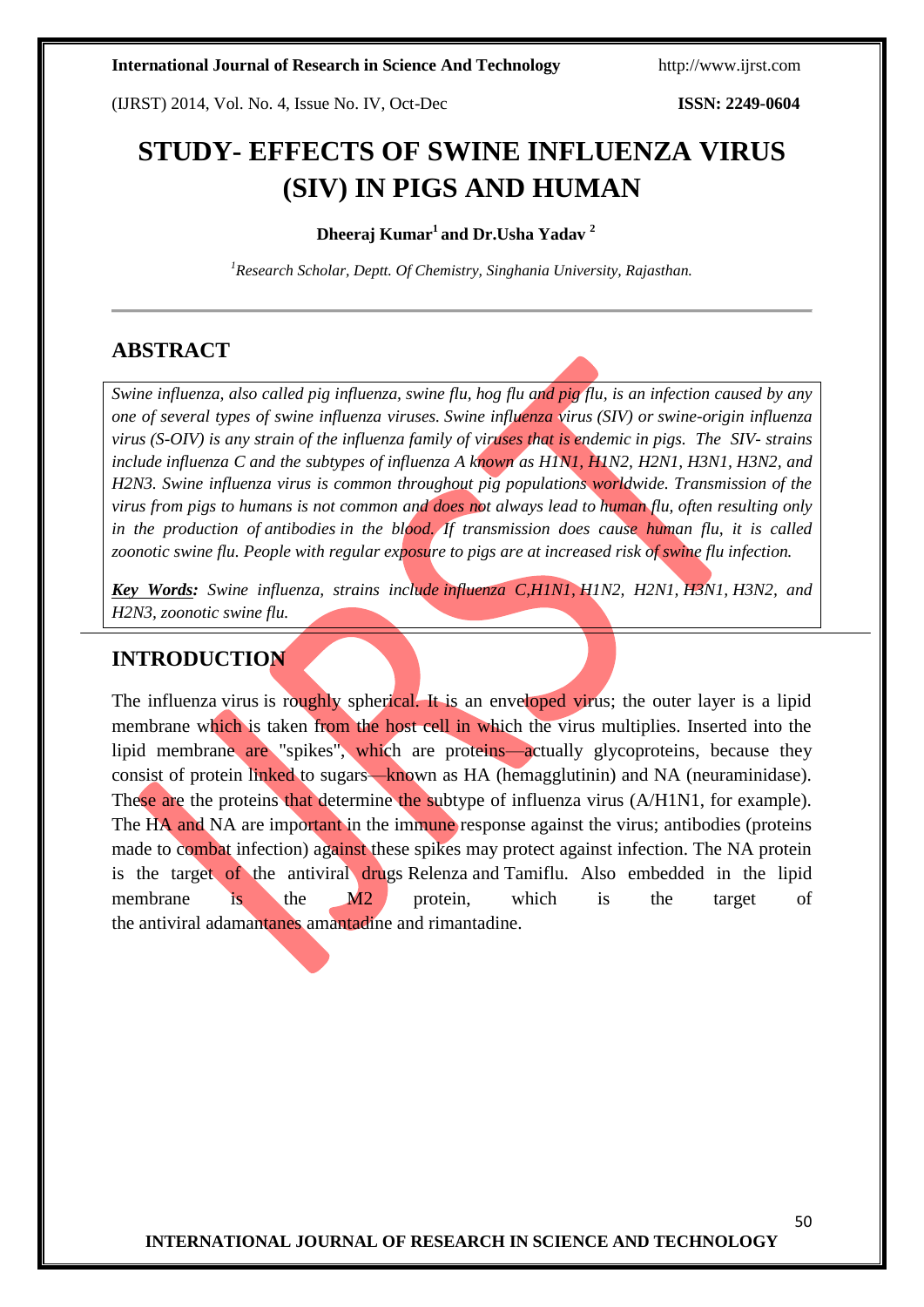(IJRST) 2014, Vol. No. 4, Issue No. IV, Oct-Dec **ISSN: 2249-0604**

# **STUDY- EFFECTS OF SWINE INFLUENZA VIRUS (SIV) IN PIGS AND HUMAN**

### **Dheeraj Kumar<sup>1</sup>and Dr.Usha Yadav <sup>2</sup>**

*<sup>1</sup>Research Scholar, Deptt. Of Chemistry, Singhania University, Rajasthan.*

## **ABSTRACT**

*Swine influenza, also called pig influenza, swine flu, hog flu and pig flu, is an infection caused by any one of several types of swine influenza [viruses.](http://en.wikipedia.org/wiki/Virus) Swine influenza virus (SIV) or swine-origin influenza virus (S-OIV) is any strain of the [influenza family of viruses](http://en.wikipedia.org/wiki/Orthomyxoviridae) that is [endemic](http://en.wikipedia.org/wiki/Endemism) in [pigs.](http://en.wikipedia.org/wiki/Pig) The SIV- strains include [influenza C](http://en.wikipedia.org/wiki/Influenzavirus_C) and the subtypes of [influenza A](http://en.wikipedia.org/wiki/Influenza_A_Virus) known as [H1N1,](http://en.wikipedia.org/wiki/H1N1) [H1N2,](http://en.wikipedia.org/wiki/H1N2) H2N1, [H3N1,](http://en.wikipedia.org/wiki/H3N1) [H3N2,](http://en.wikipedia.org/wiki/H3N2) and [H2N3.](http://en.wikipedia.org/wiki/H2N3) Swine influenza virus is common throughout pig populations worldwide. Transmission of the virus from pigs to humans is not common and does not always lead to [human flu,](http://en.wikipedia.org/wiki/Human_flu) often resulting only in the production of [antibodies](http://en.wikipedia.org/wiki/Antibody) in the blood. If transmission does cause human flu, it is called [zoonotic](http://en.wikipedia.org/wiki/Zoonosis) swine flu. People with regular exposure to pigs are at increased risk of swine flu infection.*

*Key Words: Swine influenza, strains include [influenza C](http://en.wikipedia.org/wiki/Influenzavirus_C)[,H1N1,](http://en.wikipedia.org/wiki/H1N1) [H1N2,](http://en.wikipedia.org/wiki/H1N2) H2N1, [H3N1,](http://en.wikipedia.org/wiki/H3N1) [H3N2,](http://en.wikipedia.org/wiki/H3N2) and [H2N3,](http://en.wikipedia.org/wiki/H2N3) [zoonotic](http://en.wikipedia.org/wiki/Zoonosis) swine flu.*

## **INTRODUCTION**

The influenza virus is roughly spherical. It is an enveloped virus; the outer layer is a lipid membrane which is taken from the host cell in which the virus multiplies. Inserted into the lipid membrane are "spikes", which are proteins—actually glycoproteins, because they consist of protein linked to sugars—known as HA (hemagglutinin) and NA (neuraminidase). These are the proteins that determine the subtype of influenza virus (A/H1N1, for example). The HA and NA are important in the immune response against the virus; antibodies (proteins made to combat infection) against these spikes may protect against infection. The NA protein is the target of the antiviral drugs [Relenza](http://en.wikipedia.org/wiki/Relenza) and [Tamiflu.](http://en.wikipedia.org/wiki/Tamiflu) Also embedded in the lipid membrane is the M2 protein, which is the target of the [antiviral](http://en.wikipedia.org/wiki/Antiviral_drug) [adamantanes](http://en.wikipedia.org/wiki/Adamantane) [amantadine](http://en.wikipedia.org/wiki/Amantadine) and [rimantadine.](http://en.wikipedia.org/wiki/Rimantadine)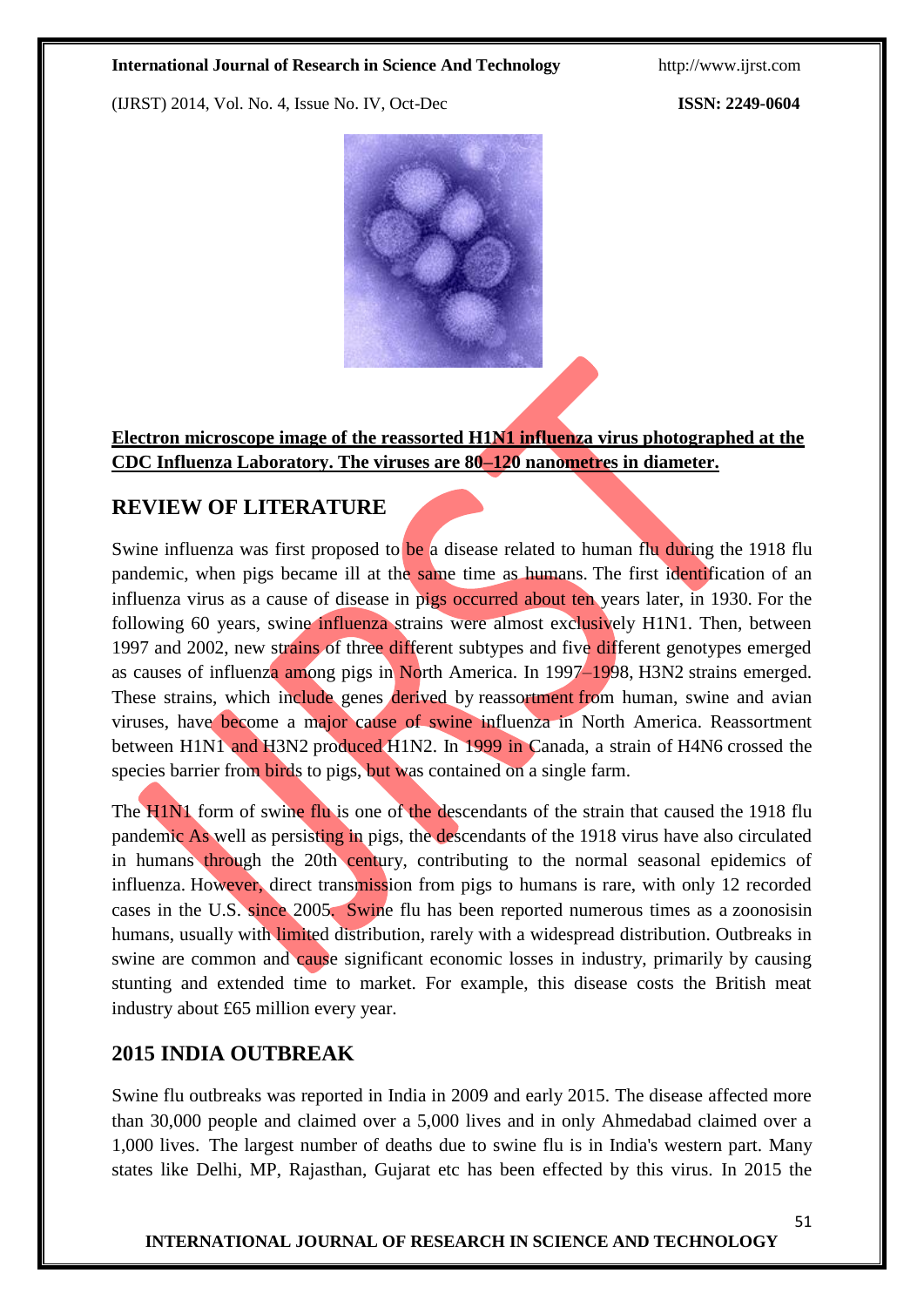(IJRST) 2014, Vol. No. 4, Issue No. IV, Oct-Dec **ISSN: 2249-0604**



**[Electron microscope](http://en.wikipedia.org/wiki/Electron_microscope) image of the [reassorted](http://en.wikipedia.org/wiki/Reassortment) H1N1 influenza virus photographed at the CDC Influenza Laboratory. The viruses are 80–120 [nanometres](http://en.wikipedia.org/wiki/Nanometre) in diameter.**

## **REVIEW OF LITERATURE**

Swine influenza was first proposed to be a disease related to human flu during the 1918 flu pandemic, when pigs became ill at the same time as humans. The first identification of an influenza virus as a cause of disease in pigs occurred about ten years later, in 1930. For the following 60 years, swine influenza strains were almost exclusively H1N1. Then, between 1997 and 2002, new strains of three different subtypes and five different genotypes emerged as causes of influenza among pigs in North America. In 1997–1998, H3N2 strains emerged. These strains, which include genes derived by reassortment from human, swine and avian viruses, have become a major cause of swine influenza in North America. Reassortment between H1N1 and H3N2 produced H1N2. In 1999 in Canada, a strain of H4N6 crossed the species barrier from birds to pigs, but was contained on a single farm.

The H1N1 form of swine flu is one of the descendants of the strain that caused the 1918 flu pandemic As well as persisting in pigs, the descendants of the 1918 virus have also circulated in humans through the 20th century, contributing to the normal seasonal epidemics of influenza. However, direct transmission from pigs to humans is rare, with only 12 recorded cases in the U.S. since 2005. Swine flu has been reported numerous times as a zoonosisin humans, usually with limited distribution, rarely with a widespread distribution. Outbreaks in swine are common and cause significant economic losses in industry, primarily by causing stunting and extended time to market. For example, this disease costs the British meat industry about £65 million every year.

## **2015 INDIA OUTBREAK**

Swine flu outbreaks was reported in India in 2009 and early 2015. The disease affected more than 30,000 people and claimed over a 5,000 lives and in only Ahmedabad claimed over a 1,000 lives. The largest number of deaths due to swine flu is in India's western part. Many states like Delhi, MP, Rajasthan, Gujarat etc has been effected by this virus. In 2015 the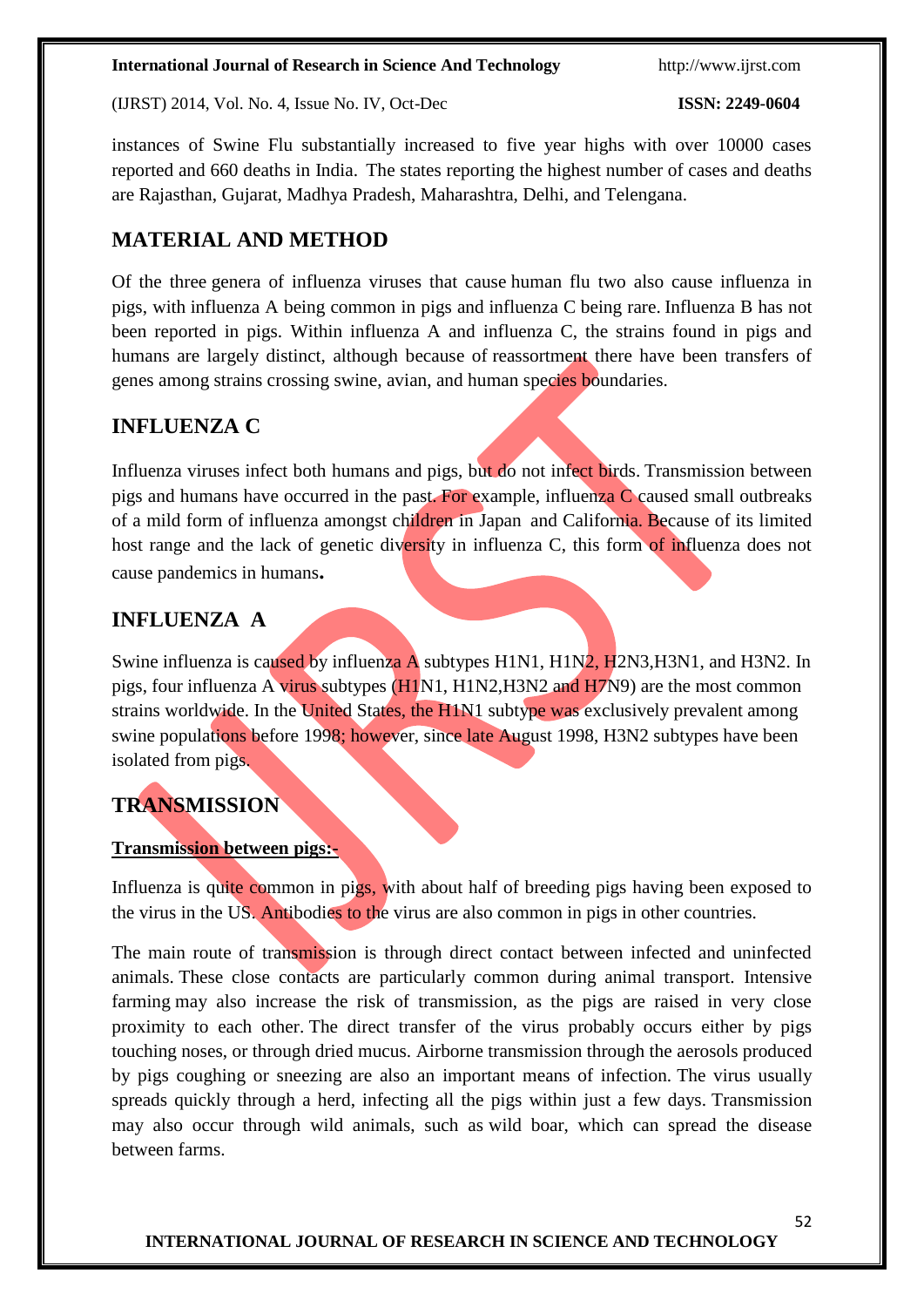(IJRST) 2014, Vol. No. 4, Issue No. IV, Oct-Dec **ISSN: 2249-0604**

instances of Swine Flu substantially increased to five year highs with over 10000 cases reported and 660 deaths in India. The states reporting the highest number of cases and deaths are Rajasthan, Gujarat, Madhya Pradesh, Maharashtra, Delhi, and Telengana.

# **MATERIAL AND METHOD**

Of the three genera of influenza viruses that cause human flu two also cause influenza in pigs, with influenza A being common in pigs and influenza C being rare. Influenza B has not been reported in pigs. Within influenza A and influenza C, the strains found in pigs and humans are largely distinct, although because of reassortment there have been transfers of genes among strains crossing swine, avian, and human species boundaries.

# **INFLUENZA C**

Influenza viruses infect both humans and pigs, but do not infect birds. Transmission between pigs and humans have occurred in the past. For example, influenza C caused small outbreaks of a mild form of influenza amongst children in Japan and California. Because of its limited host range and the lack of genetic diversity in influenza C, this form of influenza does not cause pandemics in humans**.**

# **INFLUENZA A**

Swine influenza is caused by influenza A subtypes H1N1, H1N2, H2N3, H3N1, and H3N2. In pigs, four influenza A virus subtypes (H1N1, H1N2,H3N2 and H7N9) are the most common strains worldwide. In the United States, the H1N1 subtype was exclusively prevalent among swine populations before 1998; however, since late August 1998, H3N2 subtypes have been isolated from pigs.

# **TRANSMISSION**

## **Transmission between pigs:-**

Influenza is quite common in pigs, with about half of breeding pigs having been exposed to the virus in the US. Antibodies to the virus are also common in pigs in other countries.

The main route of transmission is through direct contact between infected and uninfected animals. These close contacts are particularly common during animal transport. [Intensive](http://en.wikipedia.org/wiki/Intensive_farming)  [farming](http://en.wikipedia.org/wiki/Intensive_farming) may also increase the risk of transmission, as the pigs are raised in very close proximity to each other. The direct transfer of the virus probably occurs either by pigs touching noses, or through dried mucus. Airborne transmission through the aerosols produced by pigs coughing or sneezing are also an important means of infection. The virus usually spreads quickly through a herd, infecting all the pigs within just a few days. Transmission may also occur through wild animals, such as [wild boar,](http://en.wikipedia.org/wiki/Wild_boar) which can spread the disease between farms.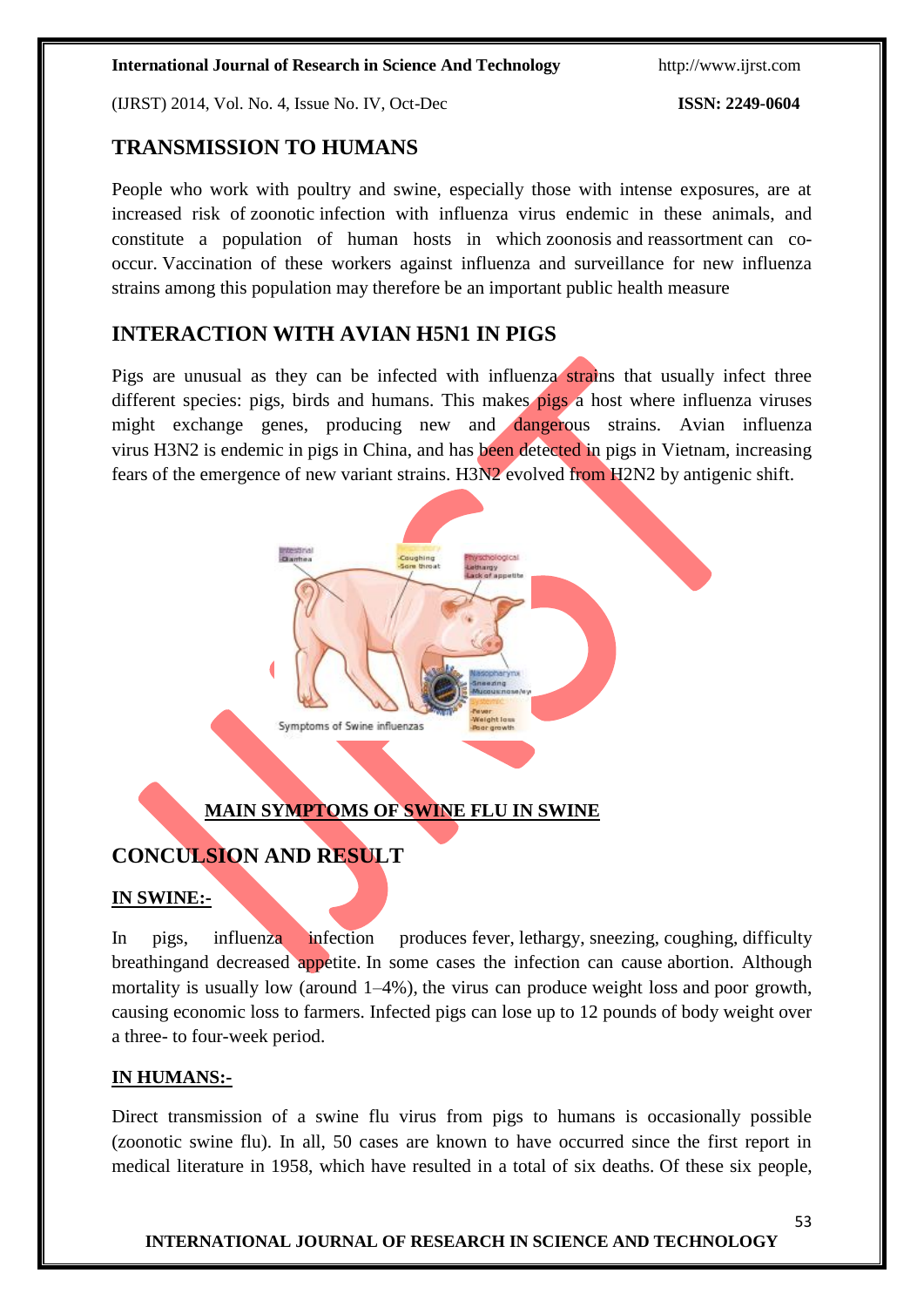(IJRST) 2014, Vol. No. 4, Issue No. IV, Oct-Dec **ISSN: 2249-0604**

# **TRANSMISSION TO HUMANS**

People who work with poultry and swine, especially those with intense exposures, are at increased risk of [zoonotic](http://en.wikipedia.org/wiki/Zoonosis) infection with influenza virus endemic in these animals, and constitute a population of human hosts in which [zoonosis](http://en.wikipedia.org/wiki/Zoonosis) and [reassortment](http://en.wikipedia.org/wiki/Reassortment) can cooccur. Vaccination of these workers against influenza and surveillance for new influenza strains among this population may therefore be an important public health measure

# **INTERACTION WITH AVIAN H5N1 IN PIGS**

Pigs are unusual as they can be infected with influenza strains that usually infect three different species: pigs, birds and humans. This makes pigs a host where influenza viruses might exchange genes, producing new and dangerous strains. Avian influenza virus [H3N2](http://en.wikipedia.org/wiki/H3N2) is [endemic](http://en.wikipedia.org/wiki/Endemic_(epidemiology)) in [pigs](http://en.wikipedia.org/wiki/Pig) in China, and has been detected in pigs in Vietnam, increasing fears of the emergence of new variant strains. [H3N2](http://en.wikipedia.org/wiki/H3N2) evolved from [H2N2](http://en.wikipedia.org/wiki/H2N2) by [antigenic shift.](http://en.wikipedia.org/wiki/Antigenic_shift)



# **MAIN SYMPTOMS OF SWINE FLU IN SWINE**

# **CONCULSION AND RESULT**

## **IN SWINE:-**

In pigs, influenza infection produces [fever,](http://en.wikipedia.org/wiki/Fever) [lethargy,](http://en.wikipedia.org/wiki/Lethargy) [sneezing,](http://en.wikipedia.org/wiki/Sneezing) [coughing,](http://en.wikipedia.org/wiki/Coughing) [difficulty](http://en.wikipedia.org/wiki/Dyspnea)  [breathinga](http://en.wikipedia.org/wiki/Dyspnea)nd decreased appetite. In some cases the infection can cause [abortion.](http://en.wikipedia.org/wiki/Abortion) Although mortality is usually low (around 1–4%), the virus can produce [weight loss](http://en.wikipedia.org/wiki/Weight_loss) and [poor growth,](http://en.wikipedia.org/wiki/Growth_failure) causing economic loss to farmers. Infected pigs can lose up to 12 pounds of body weight over a three- to four-week period.

## **IN HUMANS:-**

Direct transmission of a swine flu virus from pigs to humans is occasionally possible [\(zoonotic](http://en.wikipedia.org/wiki/Zoonosis) swine flu). In all, 50 cases are known to have occurred since the first report in medical literature in 1958, which have resulted in a total of six deaths. Of these six people,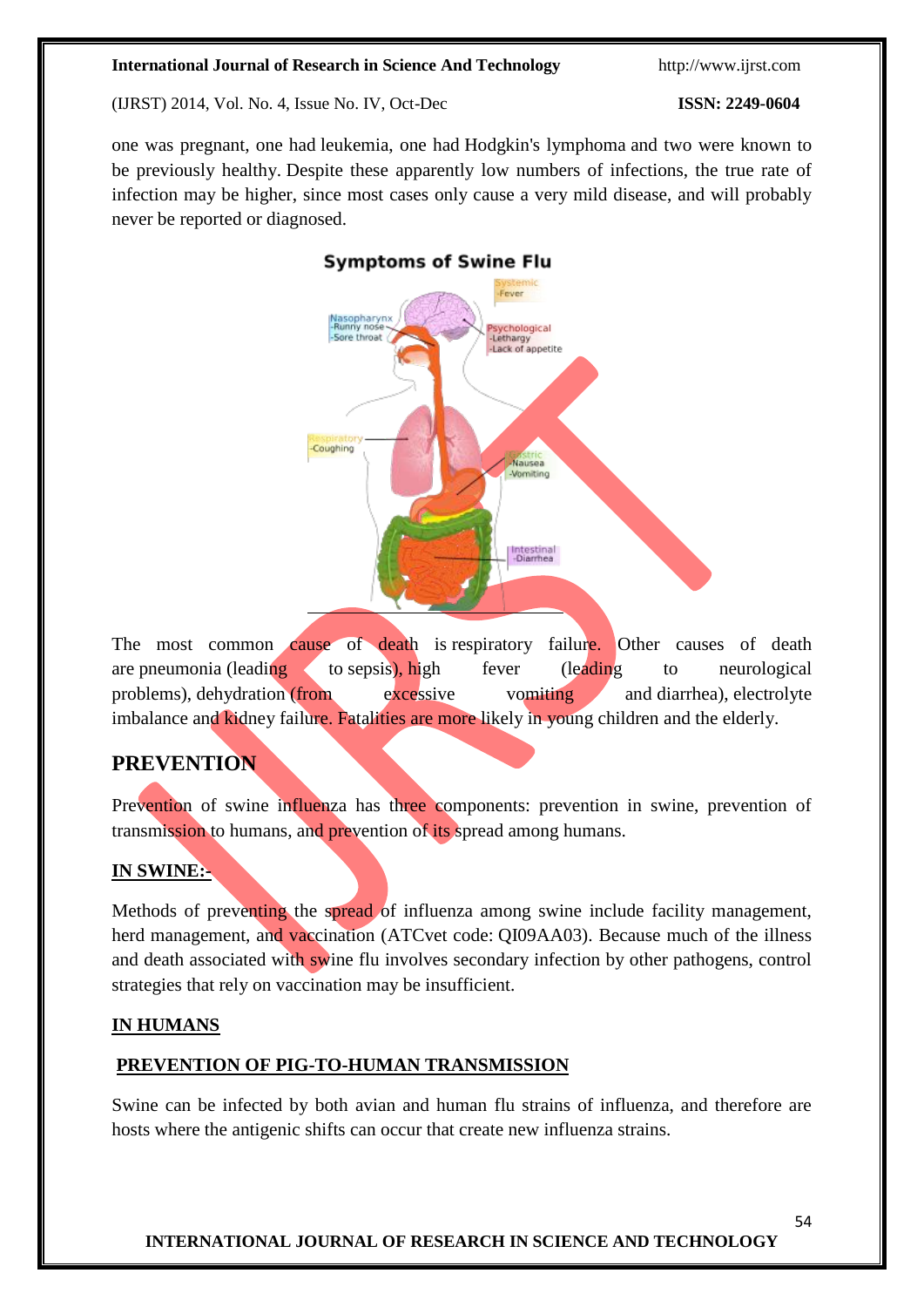(IJRST) 2014, Vol. No. 4, Issue No. IV, Oct-Dec **ISSN: 2249-0604**

one was pregnant, one had [leukemia,](http://en.wikipedia.org/wiki/Leukemia) one had [Hodgkin's lymphoma](http://en.wikipedia.org/wiki/Hodgkin%27s_lymphoma) and two were known to be previously healthy. Despite these apparently low numbers of infections, the true rate of infection may be higher, since most cases only cause a very mild disease, and will probably never be reported or diagnosed.

# **Symptoms of Swine Flu** Fever Nasopharynx<br>-Runny nose vchological -sychological<br>-Lethargy<br>-Lack of appetite -Sore throat -Coughing Nausea Vomiting Intestinal<br>-Diarrhea

The most common cause of death is [respiratory failure.](http://en.wikipedia.org/wiki/Respiratory_failure) Other causes of death are [pneumonia](http://en.wikipedia.org/wiki/Pneumonia) (leading to [sepsis\)](http://en.wikipedia.org/wiki/Sepsis), high fever (leading to neurological problems), [dehydration](http://en.wikipedia.org/wiki/Dehydration) (from excessive vomiting and [diarrhea\)](http://en.wikipedia.org/wiki/Diarrhea), electrolyte [imbalance](http://en.wikipedia.org/wiki/Electrolyte_imbalance) and [kidney failure.](http://en.wikipedia.org/wiki/Renal_failure) Fatalities are more likely in young children and the elderly.

# **PREVENTION**

Prevention of swine influenza has three components: prevention in swine, prevention of transmission to humans, and prevention of its spread among humans.

## **IN SWINE:-**

Methods of preventing the spread of influenza among swine include facility management, herd management, and vaccination [\(ATCvet](http://en.wikipedia.org/wiki/ATCvet) code: [QI09AA03\)](http://en.wikipedia.org/wiki/ATCvet_code_QI09). Because much of the illness and death associated with swine flu involves secondary infection by other pathogens, control strategies that rely on vaccination may be insufficient.

## **IN HUMANS**

## **PREVENTION OF PIG-TO-HUMAN TRANSMISSION**

Swine can be infected by both avian and human flu strains of influenza, and therefore are hosts where the [antigenic shifts](http://en.wikipedia.org/wiki/Antigenic_shift) can occur that create new influenza strains.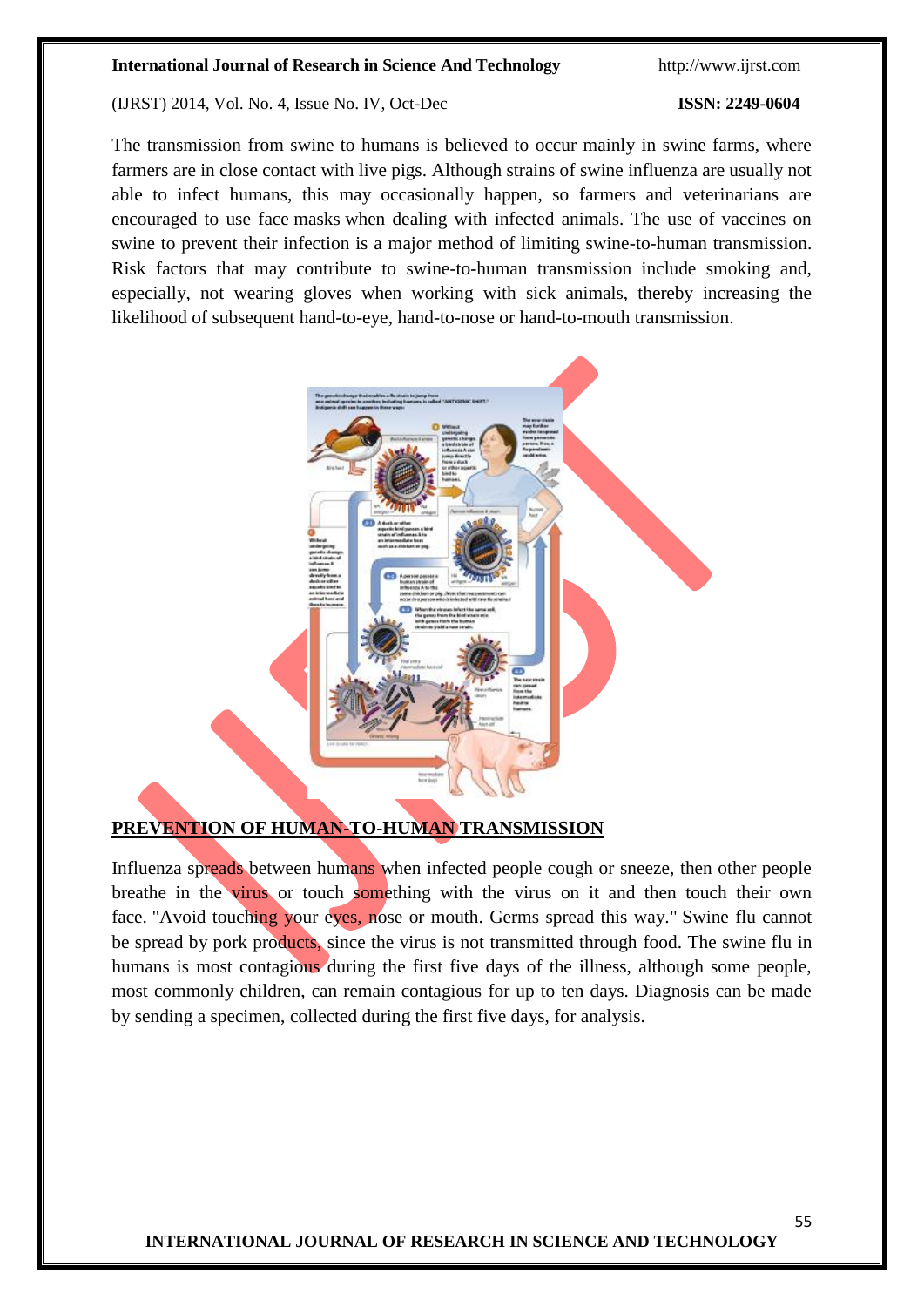#### (IJRST) 2014, Vol. No. 4, Issue No. IV, Oct-Dec **ISSN: 2249-0604**

The transmission from swine to humans is believed to occur mainly in swine farms, where farmers are in close contact with live pigs. Although strains of swine influenza are usually not able to infect humans, this may occasionally happen, so farmers and veterinarians are encouraged to use face [masks](http://en.wikipedia.org/wiki/Surgical_mask) when dealing with infected animals. The use of vaccines on swine to prevent their infection is a major method of limiting swine-to-human transmission. Risk factors that may contribute to swine-to-human transmission include smoking and, especially, not wearing gloves when working with sick animals, thereby increasing the likelihood of subsequent hand-to-eye, hand-to-nose or hand-to-mouth transmission.



#### **PREVENTION OF HUMAN-TO-HUMAN TRANSMISSION**

Influenza spreads between humans when infected people cough or sneeze, then other people breathe in the virus or touch something with the virus on it and then touch their own face. "Avoid touching your eyes, nose or mouth. Germs spread this way." Swine flu cannot be spread by pork products, since the virus is not transmitted through food. The swine flu in humans is most contagious during the first five days of the illness, although some people, most commonly children, can remain contagious for up to ten days. Diagnosis can be made by sending a specimen, collected during the first five days, for analysis.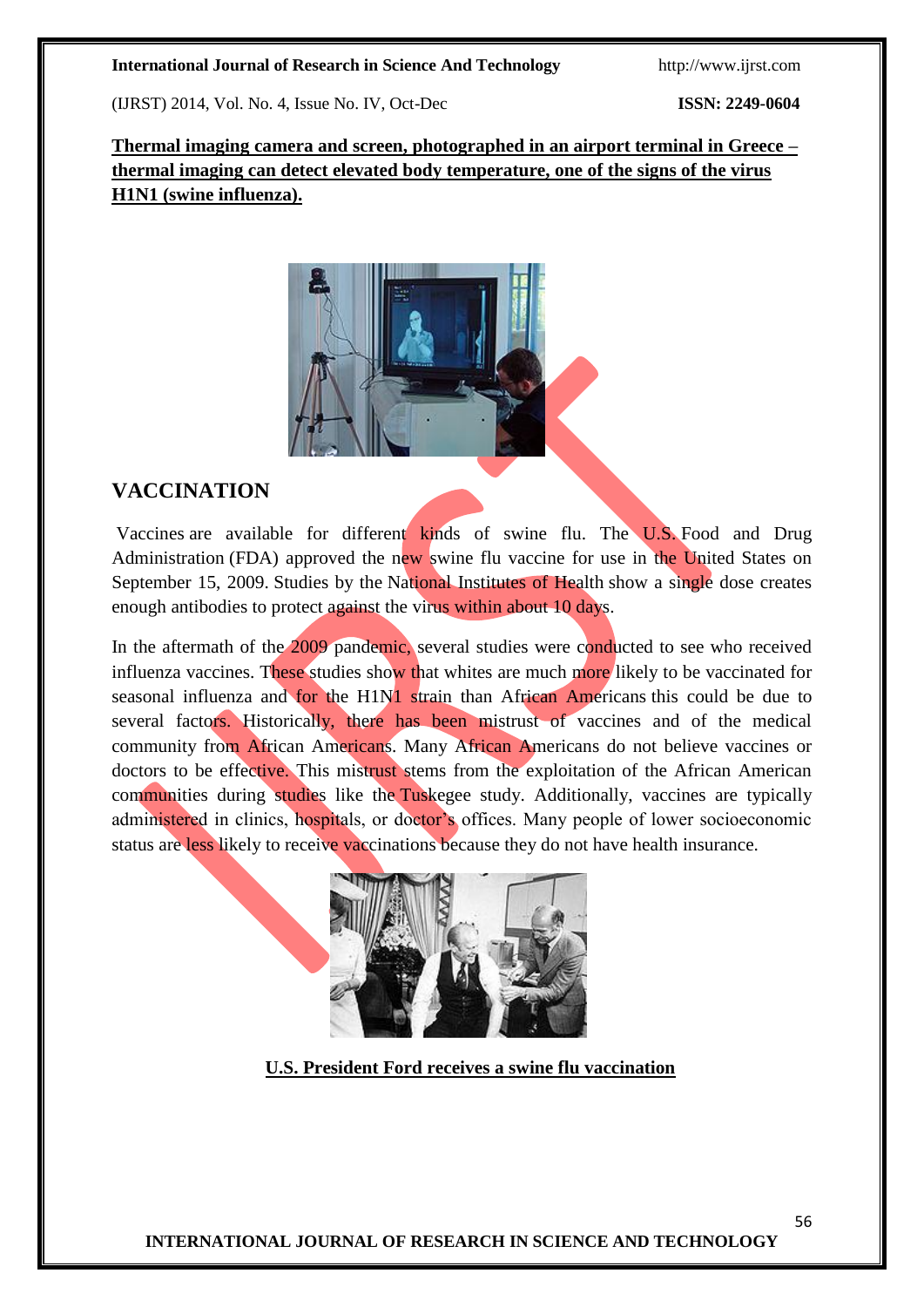(IJRST) 2014, Vol. No. 4, Issue No. IV, Oct-Dec **ISSN: 2249-0604**

**Thermal imaging camera and screen, photographed in an airport terminal in Greece – thermal imaging can detect elevated body temperature, one of the signs of the virus H1N1 (swine influenza).**



# **VACCINATION**

[Vaccines](http://en.wikipedia.org/wiki/Vaccine) are available for different kinds of swine flu. The U.S. [Food and Drug](http://en.wikipedia.org/wiki/Food_and_Drug_Administration)  [Administration](http://en.wikipedia.org/wiki/Food_and_Drug_Administration) (FDA) approved the new swine flu vaccine for use in the United States on September 15, 2009. Studies by the [National Institutes of Health](http://en.wikipedia.org/wiki/National_Institutes_of_Health) show a single dose creates enough antibodies to protect against the virus within about 10 days.

In the aftermath of the 2009 pandemic, several studies were conducted to see who received influenza vaccines. These studies show that whites are much more likely to be vaccinated for seasonal influenza and for the H1N1 strain than African Americans this could be due to several factors. Historically, there has been mistrust of vaccines and of the medical community from African Americans. Many African Americans do not believe vaccines or doctors to be effective. This mistrust stems from the exploitation of the African American communities during studies like the [Tuskegee study.](http://en.wikipedia.org/wiki/Tuskegee_syphilis_experiment) Additionally, vaccines are typically administered in clinics, hospitals, or doctor's offices. Many people of lower socioeconomic status are less likely to receive vaccinations because they do not have health insurance.



 **U.S. President Ford receives a swine flu vaccination**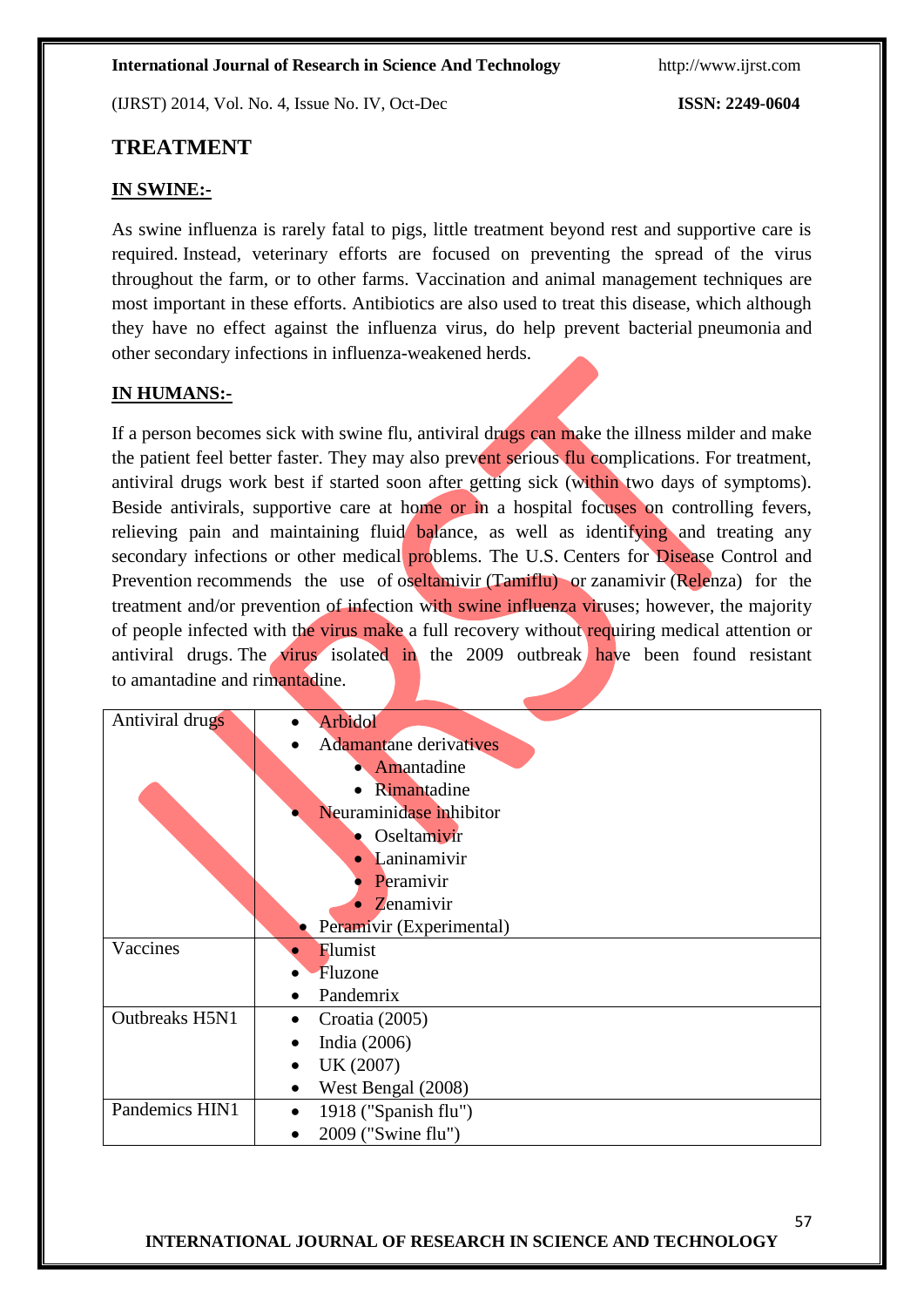(IJRST) 2014, Vol. No. 4, Issue No. IV, Oct-Dec **ISSN: 2249-0604**

## **TREATMENT**

### **IN SWINE:-**

As swine influenza is rarely fatal to pigs, little treatment beyond rest and supportive care is required. Instead, veterinary efforts are focused on preventing the spread of the virus throughout the farm, or to other farms. Vaccination and animal management techniques are most important in these efforts. Antibiotics are also used to treat this disease, which although they have no effect against the influenza virus, do help prevent bacterial [pneumonia](http://en.wikipedia.org/wiki/Pneumonia) and other [secondary infections](http://en.wikipedia.org/wiki/Secondary_infection) in influenza-weakened herds.

### **IN HUMANS:-**

If a person becomes sick with swine flu, antiviral drugs can make the illness milder and make the patient feel better faster. They may also prevent serious flu complications. For treatment, antiviral drugs work best if started soon after getting sick (within two days of symptoms). Beside antivirals, supportive care at home or in a hospital focuses on controlling fevers, relieving pain and maintaining fluid balance, as well as identifying and treating any secondary infections or other medical problems. The U.S. Centers for Disease Control and [Prevention](http://en.wikipedia.org/wiki/Centers_for_Disease_Control_and_Prevention) recommends the use of [oseltamivir](http://en.wikipedia.org/wiki/Oseltamivir) (Tamiflu) or [zanamivir](http://en.wikipedia.org/wiki/Zanamivir) (Relenza) for the treatment and/or prevention of infection with swine influenza viruses; however, the majority of people infected with the virus make a full recovery without requiring medical attention or antiviral drugs. The virus isolated in the 2009 outbreak have been found resistant to [amantadine](http://en.wikipedia.org/wiki/Amantadine) and [rimantadine.](http://en.wikipedia.org/wiki/Rimantadine)

| Antiviral drugs | <b>Arbidol</b>                    |
|-----------------|-----------------------------------|
|                 | <b>Adamantane</b> derivatives     |
|                 | Amantadine                        |
|                 | Rimantadine                       |
|                 | Neuraminidase inhibitor           |
|                 | Oseltamivir                       |
|                 | Laninamivir<br>$\bullet$          |
|                 | Peramivir                         |
|                 | Zenamivir<br>$\bullet$            |
|                 | Peramivir (Experimental)          |
| Vaccines        | Flumist                           |
|                 | Fluzone                           |
|                 | Pandemrix                         |
| Outbreaks H5N1  | Croatia (2005)                    |
|                 | India (2006)                      |
|                 | UK (2007)<br>$\bullet$            |
|                 | West Bengal (2008)<br>$\bullet$   |
| Pandemics HIN1  | 1918 ("Spanish flu")<br>$\bullet$ |
|                 | 2009 ("Swine flu")                |